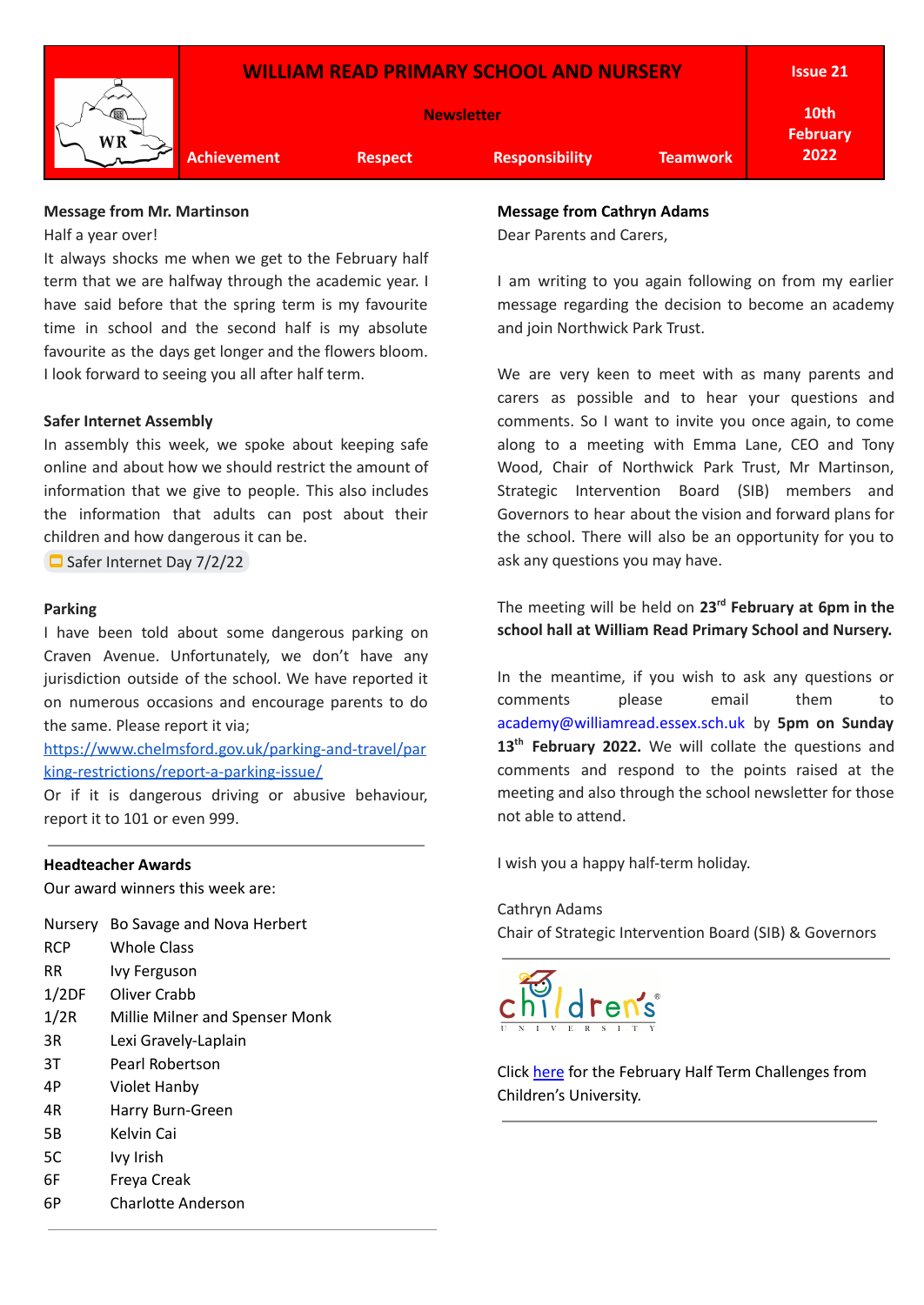

## **Message from Mr. Martinson**

Half a year over!

It always shocks me when we get to the February half term that we are halfway through the academic year. I have said before that the spring term is my favourite time in school and the second half is my absolute favourite as the days get longer and the flowers bloom. I look forward to seeing you all after half term.

#### **Safer Internet Assembly**

In assembly this week, we spoke about keeping safe online and about how we should restrict the amount of information that we give to people. This also includes the information that adults can post about their children and how dangerous it can be.

Safer [Internet](https://docs.google.com/presentation/d/1vWUSy7iTDtffHTfdXXL2ejuwaUm2r675Pv9SxYrMCuI/edit#slide=id.p) Day 7/2/22

#### **Parking**

I have been told about some dangerous parking on Craven Avenue. Unfortunately, we don't have any jurisdiction outside of the school. We have reported it on numerous occasions and encourage parents to do the same. Please report it via;

[https://www.chelmsford.gov.uk/parking-and-travel/par](https://www.chelmsford.gov.uk/parking-and-travel/parking-restrictions/report-a-parking-issue/) [king-restrictions/report-a-parking-issue/](https://www.chelmsford.gov.uk/parking-and-travel/parking-restrictions/report-a-parking-issue/)

Or if it is dangerous driving or abusive behaviour, report it to 101 or even 999.

#### **Headteacher Awards**

Our award winners this week are:

Nursery Bo Savage and Nova Herbert

- RCP Whole Class RR Ivy Ferguson
- 1/2DF Oliver Crabb
- 
- 1/2R Millie Milner and Spenser Monk
- 3R Lexi Gravely-Laplain
- 3T Pearl Robertson
- 4P Violet Hanby
- 4R Harry Burn-Green
- 5B Kelvin Cai
- 5C Ivy Irish
- 6F Freya Creak
- 6P Charlotte Anderson

#### **Message from Cathryn Adams**

Dear Parents and Carers,

I am writing to you again following on from my earlier message regarding the decision to become an academy and join Northwick Park Trust.

We are very keen to meet with as many parents and carers as possible and to hear your questions and comments. So I want to invite you once again, to come along to a meeting with Emma Lane, CEO and Tony Wood, Chair of Northwick Park Trust, Mr Martinson, Strategic Intervention Board (SIB) members and Governors to hear about the vision and forward plans for the school. There will also be an opportunity for you to ask any questions you may have.

The meeting will be held on **23 rd February at 6pm in the school hall at William Read Primary School and Nursery.**

In the meantime, if you wish to ask any questions or comments please email them to academy@williamread.essex.sch.uk by **5pm on Sunday 13 th February 2022.** We will collate the questions and comments and respond to the points raised at the meeting and also through the school newsletter for those not able to attend.

I wish you a happy half-term holiday.

Cathryn Adams Chair of Strategic Intervention Board (SIB) & Governors



Click [here](https://drive.google.com/file/d/1gt-C-EcvdUSjcwxki3KxhXEDXcYUVanY/view?usp=sharingnges-January-2022.pdf) for the February Half Term Challenges from Children's University.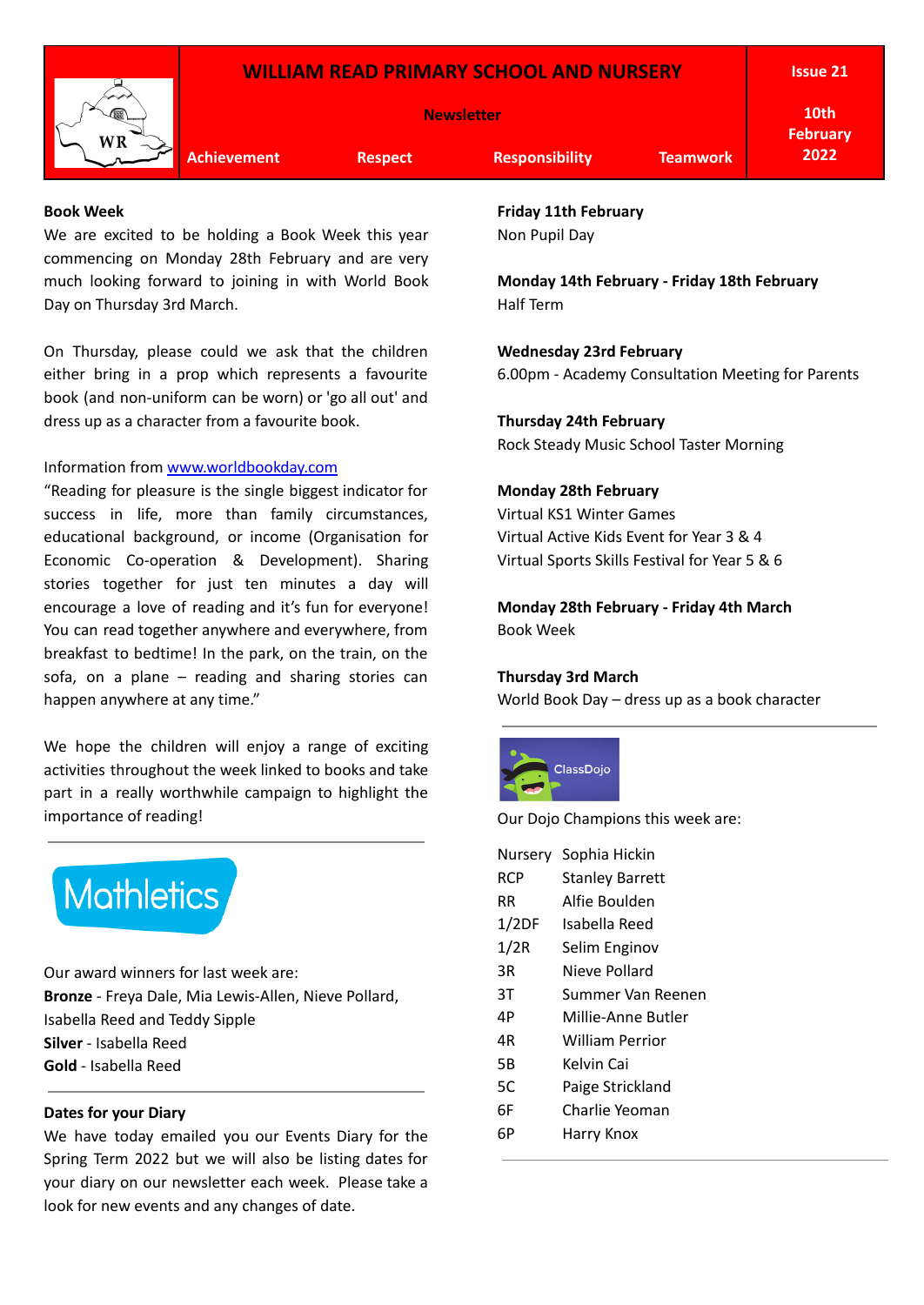

**Achievement Respect Responsibility Teamwork**

**10th February 2022**

#### **Book Week**

We are excited to be holding a Book Week this year commencing on Monday 28th February and are very much looking forward to joining in with World Book Day on Thursday 3rd March.

On Thursday, please could we ask that the children either bring in a prop which represents a favourite book (and non-uniform can be worn) or 'go all out' and dress up as a character from a favourite book.

# Information from [www.worldbookday.com](http://www.worldbookday.com/)

"Reading for pleasure is the single biggest indicator for success in life, more than family circumstances, educational background, or income (Organisation for Economic Co-operation & Development). Sharing stories together for just ten minutes a day will encourage a love of reading and it's fun for everyone! You can read together anywhere and everywhere, from breakfast to bedtime! In the park, on the train, on the sofa, on a plane – reading and sharing stories can happen anywhere at any time."

We hope the children will enjoy a range of exciting activities throughout the week linked to books and take part in a really worthwhile campaign to highlight the importance of reading!



Our award winners for last week are: **Bronze** - Freya Dale, Mia Lewis-Allen, Nieve Pollard, Isabella Reed and Teddy Sipple **Silver** - Isabella Reed **Gold** - Isabella Reed

## **Dates for your Diary**

We have today emailed you our Events Diary for the Spring Term 2022 but we will also be listing dates for your diary on our newsletter each week. Please take a look for new events and any changes of date.

**Friday 11th February** Non Pupil Day

**Monday 14th February - Friday 18th February** Half Term

**Wednesday 23rd February**

6.00pm - Academy Consultation Meeting for Parents

**Thursday 24th February**

Rock Steady Music School Taster Morning

# **Monday 28th February**

Virtual KS1 Winter Games Virtual Active Kids Event for Year 3 & 4 Virtual Sports Skills Festival for Year 5 & 6

**Monday 28th February - Friday 4th March** Book Week

## **Thursday 3rd March**

World Book Day – dress up as a book character



Our Dojo Champions this week are:

|            | Nursery Sophia Hickin  |
|------------|------------------------|
| <b>RCP</b> | <b>Stanley Barrett</b> |
| RR         | Alfie Boulden          |
| 1/2DF      | Isabella Reed          |
| 1/2R       | Selim Enginov          |
| 3R         | Nieve Pollard          |
| ЗT         | Summer Van Reenen      |
| 4P         | Millie-Anne Butler     |
| 4R         | William Perrior        |
| 5Β         | Kelvin Cai             |
| 5C         | Paige Strickland       |
| 6F         | Charlie Yeoman         |
| 6Р         | Harry Knox             |